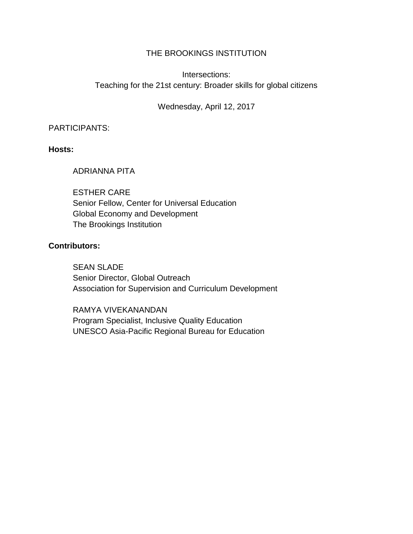## THE BROOKINGS INSTITUTION

# Intersections: Teaching for the 21st century: Broader skills for global citizens

## Wednesday, April 12, 2017

#### PARTICIPANTS:

#### **Hosts:**

## ADRIANNA PITA

ESTHER CARE Senior Fellow, Center for Universal Education Global Economy and Development The Brookings Institution

#### **Contributors:**

SEAN SLADE Senior Director, Global Outreach Association for Supervision and Curriculum Development

RAMYA VIVEKANANDAN Program Specialist, Inclusive Quality Education UNESCO Asia-Pacific Regional Bureau for Education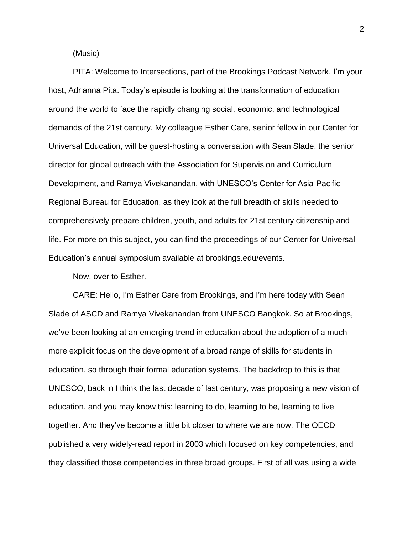(Music)

PITA: Welcome to Intersections, part of the Brookings Podcast Network. I'm your host, Adrianna Pita. Today's episode is looking at the transformation of education around the world to face the rapidly changing social, economic, and technological demands of the 21st century. My colleague Esther Care, senior fellow in our Center for Universal Education, will be guest-hosting a conversation with Sean Slade, the senior director for global outreach with the Association for Supervision and Curriculum Development, and Ramya Vivekanandan, with UNESCO's Center for Asia-Pacific Regional Bureau for Education, as they look at the full breadth of skills needed to comprehensively prepare children, youth, and adults for 21st century citizenship and life. For more on this subject, you can find the proceedings of our Center for Universal Education's annual symposium available at brookings.edu/events.

Now, over to Esther.

CARE: Hello, I'm Esther Care from Brookings, and I'm here today with Sean Slade of ASCD and Ramya Vivekanandan from UNESCO Bangkok. So at Brookings, we've been looking at an emerging trend in education about the adoption of a much more explicit focus on the development of a broad range of skills for students in education, so through their formal education systems. The backdrop to this is that UNESCO, back in I think the last decade of last century, was proposing a new vision of education, and you may know this: learning to do, learning to be, learning to live together. And they've become a little bit closer to where we are now. The OECD published a very widely-read report in 2003 which focused on key competencies, and they classified those competencies in three broad groups. First of all was using a wide

2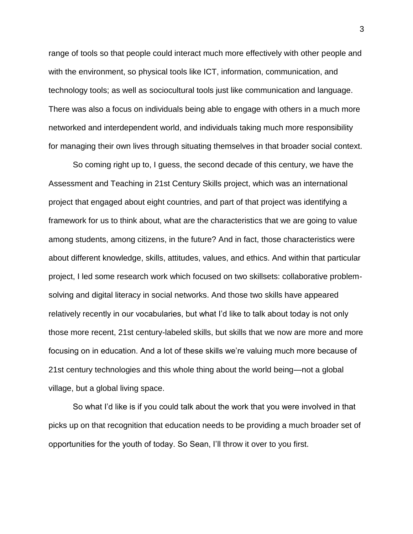range of tools so that people could interact much more effectively with other people and with the environment, so physical tools like ICT, information, communication, and technology tools; as well as sociocultural tools just like communication and language. There was also a focus on individuals being able to engage with others in a much more networked and interdependent world, and individuals taking much more responsibility for managing their own lives through situating themselves in that broader social context.

So coming right up to, I guess, the second decade of this century, we have the Assessment and Teaching in 21st Century Skills project, which was an international project that engaged about eight countries, and part of that project was identifying a framework for us to think about, what are the characteristics that we are going to value among students, among citizens, in the future? And in fact, those characteristics were about different knowledge, skills, attitudes, values, and ethics. And within that particular project, I led some research work which focused on two skillsets: collaborative problemsolving and digital literacy in social networks. And those two skills have appeared relatively recently in our vocabularies, but what I'd like to talk about today is not only those more recent, 21st century-labeled skills, but skills that we now are more and more focusing on in education. And a lot of these skills we're valuing much more because of 21st century technologies and this whole thing about the world being—not a global village, but a global living space.

So what I'd like is if you could talk about the work that you were involved in that picks up on that recognition that education needs to be providing a much broader set of opportunities for the youth of today. So Sean, I'll throw it over to you first.

3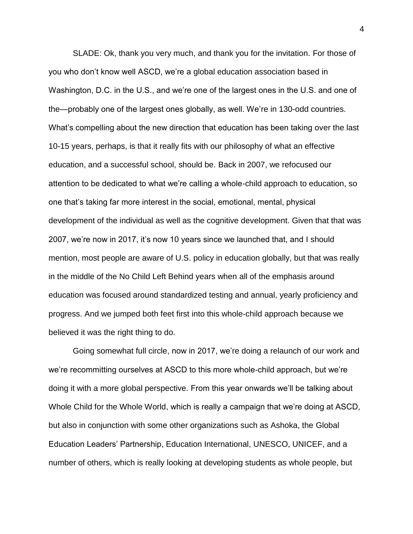SLADE: Ok, thank you very much, and thank you for the invitation. For those of you who don't know well ASCD, we're a global education association based in Washington, D.C. in the U.S., and we're one of the largest ones in the U.S. and one of the—probably one of the largest ones globally, as well. We're in 130-odd countries. What's compelling about the new direction that education has been taking over the last 10-15 years, perhaps, is that it really fits with our philosophy of what an effective education, and a successful school, should be. Back in 2007, we refocused our attention to be dedicated to what we're calling a whole-child approach to education, so one that's taking far more interest in the social, emotional, mental, physical development of the individual as well as the cognitive development. Given that that was 2007, we're now in 2017, it's now 10 years since we launched that, and I should mention, most people are aware of U.S. policy in education globally, but that was really in the middle of the No Child Left Behind years when all of the emphasis around education was focused around standardized testing and annual, yearly proficiency and progress. And we jumped both feet first into this whole-child approach because we believed it was the right thing to do.

Going somewhat full circle, now in 2017, we're doing a relaunch of our work and we're recommitting ourselves at ASCD to this more whole-child approach, but we're doing it with a more global perspective. From this year onwards we'll be talking about Whole Child for the Whole World, which is really a campaign that we're doing at ASCD, but also in conjunction with some other organizations such as Ashoka, the Global Education Leaders' Partnership, Education International, UNESCO, UNICEF, and a number of others, which is really looking at developing students as whole people, but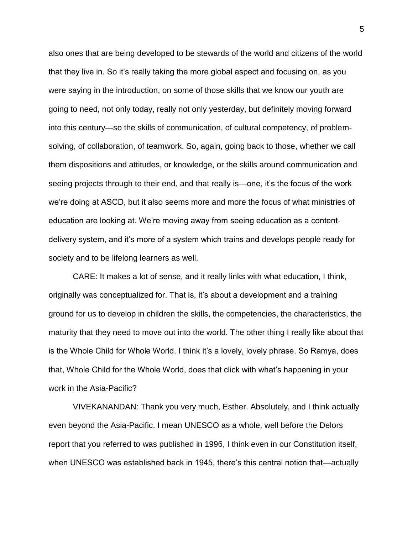also ones that are being developed to be stewards of the world and citizens of the world that they live in. So it's really taking the more global aspect and focusing on, as you were saying in the introduction, on some of those skills that we know our youth are going to need, not only today, really not only yesterday, but definitely moving forward into this century—so the skills of communication, of cultural competency, of problemsolving, of collaboration, of teamwork. So, again, going back to those, whether we call them dispositions and attitudes, or knowledge, or the skills around communication and seeing projects through to their end, and that really is—one, it's the focus of the work we're doing at ASCD, but it also seems more and more the focus of what ministries of education are looking at. We're moving away from seeing education as a contentdelivery system, and it's more of a system which trains and develops people ready for society and to be lifelong learners as well.

CARE: It makes a lot of sense, and it really links with what education, I think, originally was conceptualized for. That is, it's about a development and a training ground for us to develop in children the skills, the competencies, the characteristics, the maturity that they need to move out into the world. The other thing I really like about that is the Whole Child for Whole World. I think it's a lovely, lovely phrase. So Ramya, does that, Whole Child for the Whole World, does that click with what's happening in your work in the Asia-Pacific?

VIVEKANANDAN: Thank you very much, Esther. Absolutely, and I think actually even beyond the Asia-Pacific. I mean UNESCO as a whole, well before the Delors report that you referred to was published in 1996, I think even in our Constitution itself, when UNESCO was established back in 1945, there's this central notion that—actually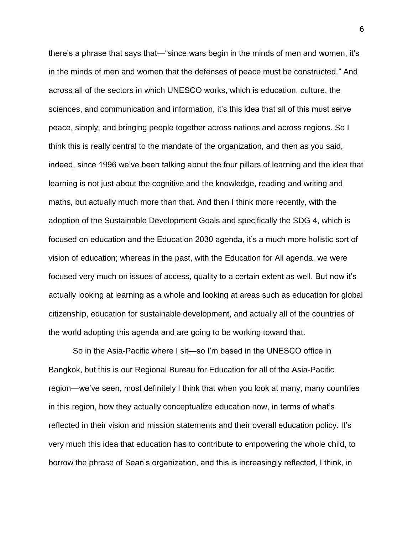there's a phrase that says that—"since wars begin in the minds of men and women, it's in the minds of men and women that the defenses of peace must be constructed." And across all of the sectors in which UNESCO works, which is education, culture, the sciences, and communication and information, it's this idea that all of this must serve peace, simply, and bringing people together across nations and across regions. So I think this is really central to the mandate of the organization, and then as you said, indeed, since 1996 we've been talking about the four pillars of learning and the idea that learning is not just about the cognitive and the knowledge, reading and writing and maths, but actually much more than that. And then I think more recently, with the adoption of the Sustainable Development Goals and specifically the SDG 4, which is focused on education and the Education 2030 agenda, it's a much more holistic sort of vision of education; whereas in the past, with the Education for All agenda, we were focused very much on issues of access, quality to a certain extent as well. But now it's actually looking at learning as a whole and looking at areas such as education for global citizenship, education for sustainable development, and actually all of the countries of the world adopting this agenda and are going to be working toward that.

So in the Asia-Pacific where I sit—so I'm based in the UNESCO office in Bangkok, but this is our Regional Bureau for Education for all of the Asia-Pacific region—we've seen, most definitely I think that when you look at many, many countries in this region, how they actually conceptualize education now, in terms of what's reflected in their vision and mission statements and their overall education policy. It's very much this idea that education has to contribute to empowering the whole child, to borrow the phrase of Sean's organization, and this is increasingly reflected, I think, in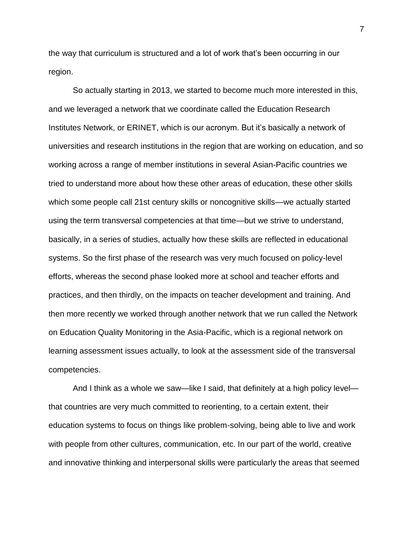the way that curriculum is structured and a lot of work that's been occurring in our region.

So actually starting in 2013, we started to become much more interested in this, and we leveraged a network that we coordinate called the Education Research Institutes Network, or ERINET, which is our acronym. But it's basically a network of universities and research institutions in the region that are working on education, and so working across a range of member institutions in several Asian-Pacific countries we tried to understand more about how these other areas of education, these other skills which some people call 21st century skills or noncognitive skills—we actually started using the term transversal competencies at that time—but we strive to understand, basically, in a series of studies, actually how these skills are reflected in educational systems. So the first phase of the research was very much focused on policy-level efforts, whereas the second phase looked more at school and teacher efforts and practices, and then thirdly, on the impacts on teacher development and training. And then more recently we worked through another network that we run called the Network on Education Quality Monitoring in the Asia-Pacific, which is a regional network on learning assessment issues actually, to look at the assessment side of the transversal competencies.

And I think as a whole we saw—like I said, that definitely at a high policy level that countries are very much committed to reorienting, to a certain extent, their education systems to focus on things like problem-solving, being able to live and work with people from other cultures, communication, etc. In our part of the world, creative and innovative thinking and interpersonal skills were particularly the areas that seemed

7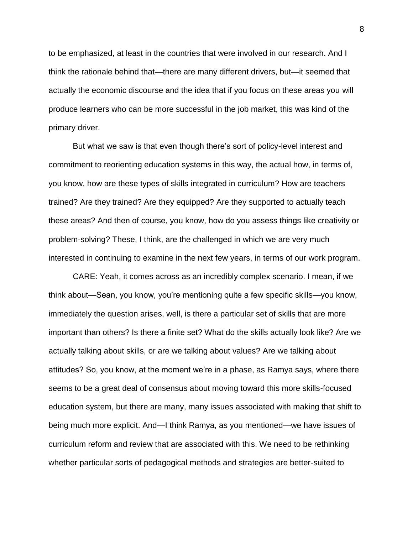to be emphasized, at least in the countries that were involved in our research. And I think the rationale behind that—there are many different drivers, but—it seemed that actually the economic discourse and the idea that if you focus on these areas you will produce learners who can be more successful in the job market, this was kind of the primary driver.

But what we saw is that even though there's sort of policy-level interest and commitment to reorienting education systems in this way, the actual how, in terms of, you know, how are these types of skills integrated in curriculum? How are teachers trained? Are they trained? Are they equipped? Are they supported to actually teach these areas? And then of course, you know, how do you assess things like creativity or problem-solving? These, I think, are the challenged in which we are very much interested in continuing to examine in the next few years, in terms of our work program.

CARE: Yeah, it comes across as an incredibly complex scenario. I mean, if we think about—Sean, you know, you're mentioning quite a few specific skills—you know, immediately the question arises, well, is there a particular set of skills that are more important than others? Is there a finite set? What do the skills actually look like? Are we actually talking about skills, or are we talking about values? Are we talking about attitudes? So, you know, at the moment we're in a phase, as Ramya says, where there seems to be a great deal of consensus about moving toward this more skills-focused education system, but there are many, many issues associated with making that shift to being much more explicit. And—I think Ramya, as you mentioned—we have issues of curriculum reform and review that are associated with this. We need to be rethinking whether particular sorts of pedagogical methods and strategies are better-suited to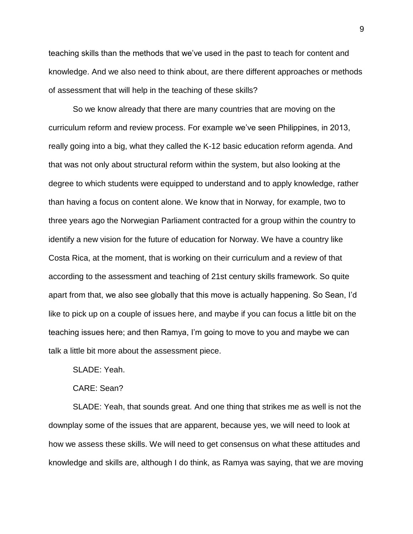teaching skills than the methods that we've used in the past to teach for content and knowledge. And we also need to think about, are there different approaches or methods of assessment that will help in the teaching of these skills?

So we know already that there are many countries that are moving on the curriculum reform and review process. For example we've seen Philippines, in 2013, really going into a big, what they called the K-12 basic education reform agenda. And that was not only about structural reform within the system, but also looking at the degree to which students were equipped to understand and to apply knowledge, rather than having a focus on content alone. We know that in Norway, for example, two to three years ago the Norwegian Parliament contracted for a group within the country to identify a new vision for the future of education for Norway. We have a country like Costa Rica, at the moment, that is working on their curriculum and a review of that according to the assessment and teaching of 21st century skills framework. So quite apart from that, we also see globally that this move is actually happening. So Sean, I'd like to pick up on a couple of issues here, and maybe if you can focus a little bit on the teaching issues here; and then Ramya, I'm going to move to you and maybe we can talk a little bit more about the assessment piece.

SLADE: Yeah.

CARE: Sean?

SLADE: Yeah, that sounds great. And one thing that strikes me as well is not the downplay some of the issues that are apparent, because yes, we will need to look at how we assess these skills. We will need to get consensus on what these attitudes and knowledge and skills are, although I do think, as Ramya was saying, that we are moving

9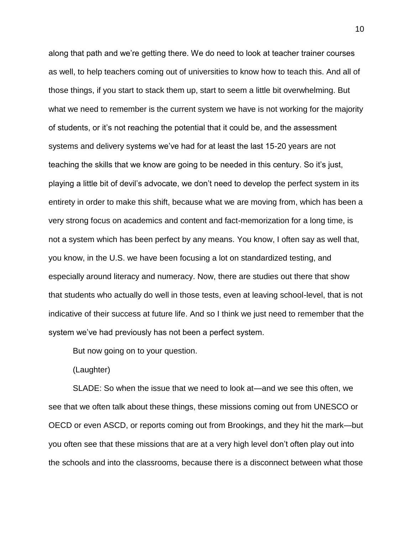along that path and we're getting there. We do need to look at teacher trainer courses as well, to help teachers coming out of universities to know how to teach this. And all of those things, if you start to stack them up, start to seem a little bit overwhelming. But what we need to remember is the current system we have is not working for the majority of students, or it's not reaching the potential that it could be, and the assessment systems and delivery systems we've had for at least the last 15-20 years are not teaching the skills that we know are going to be needed in this century. So it's just, playing a little bit of devil's advocate, we don't need to develop the perfect system in its entirety in order to make this shift, because what we are moving from, which has been a very strong focus on academics and content and fact-memorization for a long time, is not a system which has been perfect by any means. You know, I often say as well that, you know, in the U.S. we have been focusing a lot on standardized testing, and especially around literacy and numeracy. Now, there are studies out there that show that students who actually do well in those tests, even at leaving school-level, that is not indicative of their success at future life. And so I think we just need to remember that the system we've had previously has not been a perfect system.

But now going on to your question.

(Laughter)

SLADE: So when the issue that we need to look at—and we see this often, we see that we often talk about these things, these missions coming out from UNESCO or OECD or even ASCD, or reports coming out from Brookings, and they hit the mark—but you often see that these missions that are at a very high level don't often play out into the schools and into the classrooms, because there is a disconnect between what those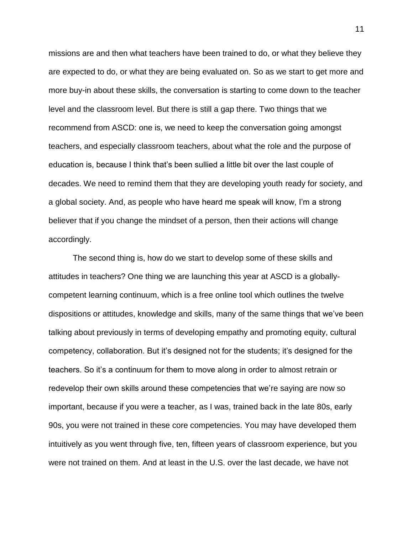missions are and then what teachers have been trained to do, or what they believe they are expected to do, or what they are being evaluated on. So as we start to get more and more buy-in about these skills, the conversation is starting to come down to the teacher level and the classroom level. But there is still a gap there. Two things that we recommend from ASCD: one is, we need to keep the conversation going amongst teachers, and especially classroom teachers, about what the role and the purpose of education is, because I think that's been sullied a little bit over the last couple of decades. We need to remind them that they are developing youth ready for society, and a global society. And, as people who have heard me speak will know, I'm a strong believer that if you change the mindset of a person, then their actions will change accordingly.

The second thing is, how do we start to develop some of these skills and attitudes in teachers? One thing we are launching this year at ASCD is a globallycompetent learning continuum, which is a free online tool which outlines the twelve dispositions or attitudes, knowledge and skills, many of the same things that we've been talking about previously in terms of developing empathy and promoting equity, cultural competency, collaboration. But it's designed not for the students; it's designed for the teachers. So it's a continuum for them to move along in order to almost retrain or redevelop their own skills around these competencies that we're saying are now so important, because if you were a teacher, as I was, trained back in the late 80s, early 90s, you were not trained in these core competencies. You may have developed them intuitively as you went through five, ten, fifteen years of classroom experience, but you were not trained on them. And at least in the U.S. over the last decade, we have not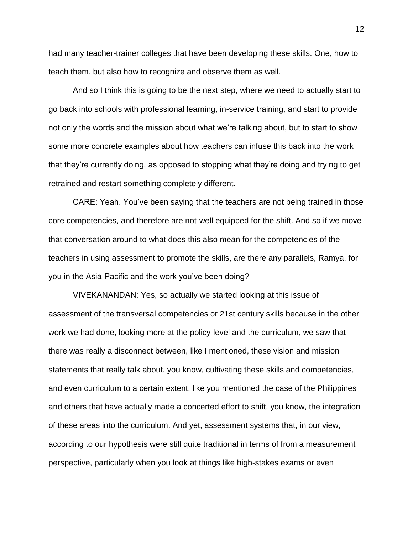had many teacher-trainer colleges that have been developing these skills. One, how to teach them, but also how to recognize and observe them as well.

And so I think this is going to be the next step, where we need to actually start to go back into schools with professional learning, in-service training, and start to provide not only the words and the mission about what we're talking about, but to start to show some more concrete examples about how teachers can infuse this back into the work that they're currently doing, as opposed to stopping what they're doing and trying to get retrained and restart something completely different.

CARE: Yeah. You've been saying that the teachers are not being trained in those core competencies, and therefore are not-well equipped for the shift. And so if we move that conversation around to what does this also mean for the competencies of the teachers in using assessment to promote the skills, are there any parallels, Ramya, for you in the Asia-Pacific and the work you've been doing?

VIVEKANANDAN: Yes, so actually we started looking at this issue of assessment of the transversal competencies or 21st century skills because in the other work we had done, looking more at the policy-level and the curriculum, we saw that there was really a disconnect between, like I mentioned, these vision and mission statements that really talk about, you know, cultivating these skills and competencies, and even curriculum to a certain extent, like you mentioned the case of the Philippines and others that have actually made a concerted effort to shift, you know, the integration of these areas into the curriculum. And yet, assessment systems that, in our view, according to our hypothesis were still quite traditional in terms of from a measurement perspective, particularly when you look at things like high-stakes exams or even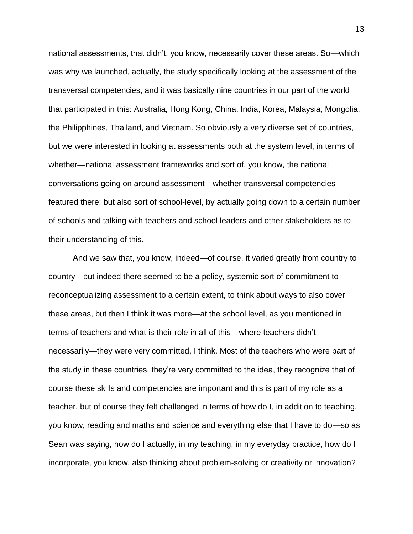national assessments, that didn't, you know, necessarily cover these areas. So—which was why we launched, actually, the study specifically looking at the assessment of the transversal competencies, and it was basically nine countries in our part of the world that participated in this: Australia, Hong Kong, China, India, Korea, Malaysia, Mongolia, the Philipphines, Thailand, and Vietnam. So obviously a very diverse set of countries, but we were interested in looking at assessments both at the system level, in terms of whether—national assessment frameworks and sort of, you know, the national conversations going on around assessment—whether transversal competencies featured there; but also sort of school-level, by actually going down to a certain number of schools and talking with teachers and school leaders and other stakeholders as to their understanding of this.

And we saw that, you know, indeed—of course, it varied greatly from country to country—but indeed there seemed to be a policy, systemic sort of commitment to reconceptualizing assessment to a certain extent, to think about ways to also cover these areas, but then I think it was more—at the school level, as you mentioned in terms of teachers and what is their role in all of this—where teachers didn't necessarily—they were very committed, I think. Most of the teachers who were part of the study in these countries, they're very committed to the idea, they recognize that of course these skills and competencies are important and this is part of my role as a teacher, but of course they felt challenged in terms of how do I, in addition to teaching, you know, reading and maths and science and everything else that I have to do—so as Sean was saying, how do I actually, in my teaching, in my everyday practice, how do I incorporate, you know, also thinking about problem-solving or creativity or innovation?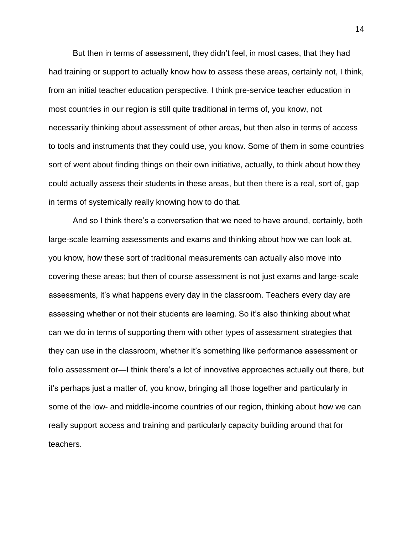But then in terms of assessment, they didn't feel, in most cases, that they had had training or support to actually know how to assess these areas, certainly not, I think, from an initial teacher education perspective. I think pre-service teacher education in most countries in our region is still quite traditional in terms of, you know, not necessarily thinking about assessment of other areas, but then also in terms of access to tools and instruments that they could use, you know. Some of them in some countries sort of went about finding things on their own initiative, actually, to think about how they could actually assess their students in these areas, but then there is a real, sort of, gap in terms of systemically really knowing how to do that.

And so I think there's a conversation that we need to have around, certainly, both large-scale learning assessments and exams and thinking about how we can look at, you know, how these sort of traditional measurements can actually also move into covering these areas; but then of course assessment is not just exams and large-scale assessments, it's what happens every day in the classroom. Teachers every day are assessing whether or not their students are learning. So it's also thinking about what can we do in terms of supporting them with other types of assessment strategies that they can use in the classroom, whether it's something like performance assessment or folio assessment or—I think there's a lot of innovative approaches actually out there, but it's perhaps just a matter of, you know, bringing all those together and particularly in some of the low- and middle-income countries of our region, thinking about how we can really support access and training and particularly capacity building around that for teachers.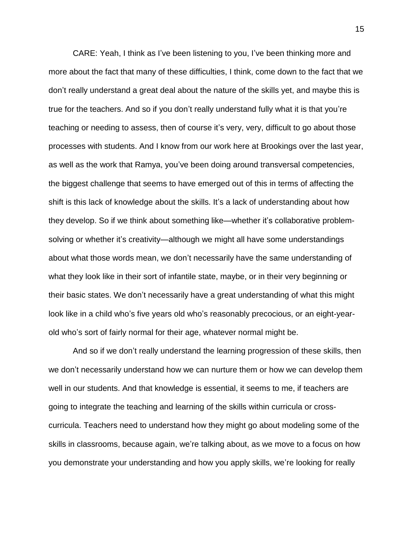CARE: Yeah, I think as I've been listening to you, I've been thinking more and more about the fact that many of these difficulties, I think, come down to the fact that we don't really understand a great deal about the nature of the skills yet, and maybe this is true for the teachers. And so if you don't really understand fully what it is that you're teaching or needing to assess, then of course it's very, very, difficult to go about those processes with students. And I know from our work here at Brookings over the last year, as well as the work that Ramya, you've been doing around transversal competencies, the biggest challenge that seems to have emerged out of this in terms of affecting the shift is this lack of knowledge about the skills. It's a lack of understanding about how they develop. So if we think about something like—whether it's collaborative problemsolving or whether it's creativity—although we might all have some understandings about what those words mean, we don't necessarily have the same understanding of what they look like in their sort of infantile state, maybe, or in their very beginning or their basic states. We don't necessarily have a great understanding of what this might look like in a child who's five years old who's reasonably precocious, or an eight-yearold who's sort of fairly normal for their age, whatever normal might be.

And so if we don't really understand the learning progression of these skills, then we don't necessarily understand how we can nurture them or how we can develop them well in our students. And that knowledge is essential, it seems to me, if teachers are going to integrate the teaching and learning of the skills within curricula or crosscurricula. Teachers need to understand how they might go about modeling some of the skills in classrooms, because again, we're talking about, as we move to a focus on how you demonstrate your understanding and how you apply skills, we're looking for really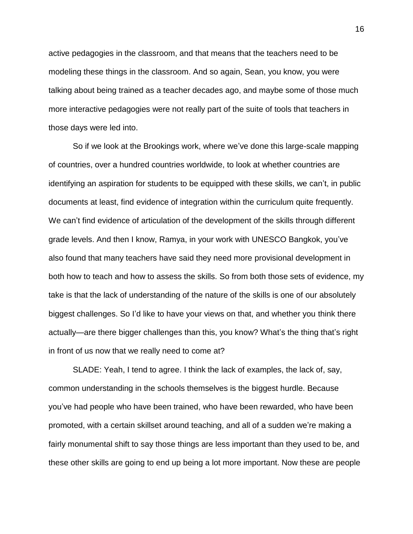active pedagogies in the classroom, and that means that the teachers need to be modeling these things in the classroom. And so again, Sean, you know, you were talking about being trained as a teacher decades ago, and maybe some of those much more interactive pedagogies were not really part of the suite of tools that teachers in those days were led into.

So if we look at the Brookings work, where we've done this large-scale mapping of countries, over a hundred countries worldwide, to look at whether countries are identifying an aspiration for students to be equipped with these skills, we can't, in public documents at least, find evidence of integration within the curriculum quite frequently. We can't find evidence of articulation of the development of the skills through different grade levels. And then I know, Ramya, in your work with UNESCO Bangkok, you've also found that many teachers have said they need more provisional development in both how to teach and how to assess the skills. So from both those sets of evidence, my take is that the lack of understanding of the nature of the skills is one of our absolutely biggest challenges. So I'd like to have your views on that, and whether you think there actually—are there bigger challenges than this, you know? What's the thing that's right in front of us now that we really need to come at?

SLADE: Yeah, I tend to agree. I think the lack of examples, the lack of, say, common understanding in the schools themselves is the biggest hurdle. Because you've had people who have been trained, who have been rewarded, who have been promoted, with a certain skillset around teaching, and all of a sudden we're making a fairly monumental shift to say those things are less important than they used to be, and these other skills are going to end up being a lot more important. Now these are people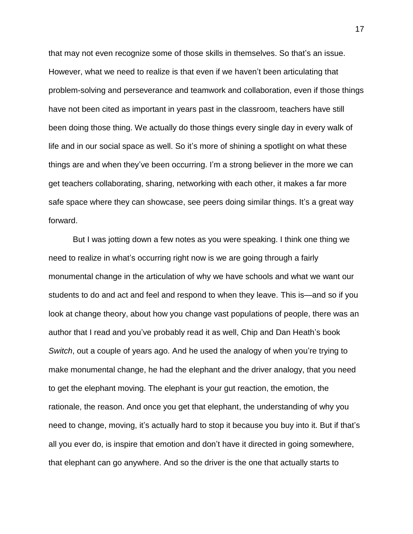that may not even recognize some of those skills in themselves. So that's an issue. However, what we need to realize is that even if we haven't been articulating that problem-solving and perseverance and teamwork and collaboration, even if those things have not been cited as important in years past in the classroom, teachers have still been doing those thing. We actually do those things every single day in every walk of life and in our social space as well. So it's more of shining a spotlight on what these things are and when they've been occurring. I'm a strong believer in the more we can get teachers collaborating, sharing, networking with each other, it makes a far more safe space where they can showcase, see peers doing similar things. It's a great way forward.

But I was jotting down a few notes as you were speaking. I think one thing we need to realize in what's occurring right now is we are going through a fairly monumental change in the articulation of why we have schools and what we want our students to do and act and feel and respond to when they leave. This is—and so if you look at change theory, about how you change vast populations of people, there was an author that I read and you've probably read it as well, Chip and Dan Heath's book *Switch*, out a couple of years ago. And he used the analogy of when you're trying to make monumental change, he had the elephant and the driver analogy, that you need to get the elephant moving. The elephant is your gut reaction, the emotion, the rationale, the reason. And once you get that elephant, the understanding of why you need to change, moving, it's actually hard to stop it because you buy into it. But if that's all you ever do, is inspire that emotion and don't have it directed in going somewhere, that elephant can go anywhere. And so the driver is the one that actually starts to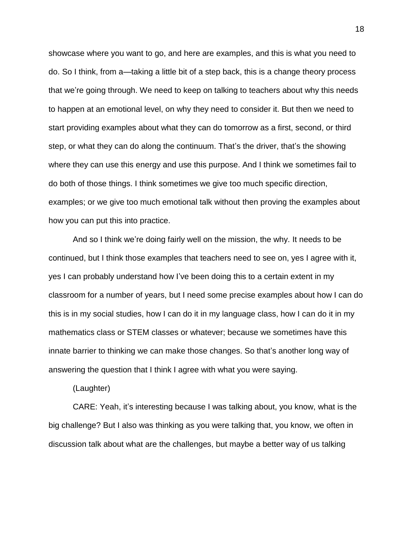showcase where you want to go, and here are examples, and this is what you need to do. So I think, from a—taking a little bit of a step back, this is a change theory process that we're going through. We need to keep on talking to teachers about why this needs to happen at an emotional level, on why they need to consider it. But then we need to start providing examples about what they can do tomorrow as a first, second, or third step, or what they can do along the continuum. That's the driver, that's the showing where they can use this energy and use this purpose. And I think we sometimes fail to do both of those things. I think sometimes we give too much specific direction, examples; or we give too much emotional talk without then proving the examples about how you can put this into practice.

And so I think we're doing fairly well on the mission, the why. It needs to be continued, but I think those examples that teachers need to see on, yes I agree with it, yes I can probably understand how I've been doing this to a certain extent in my classroom for a number of years, but I need some precise examples about how I can do this is in my social studies, how I can do it in my language class, how I can do it in my mathematics class or STEM classes or whatever; because we sometimes have this innate barrier to thinking we can make those changes. So that's another long way of answering the question that I think I agree with what you were saying.

(Laughter)

CARE: Yeah, it's interesting because I was talking about, you know, what is the big challenge? But I also was thinking as you were talking that, you know, we often in discussion talk about what are the challenges, but maybe a better way of us talking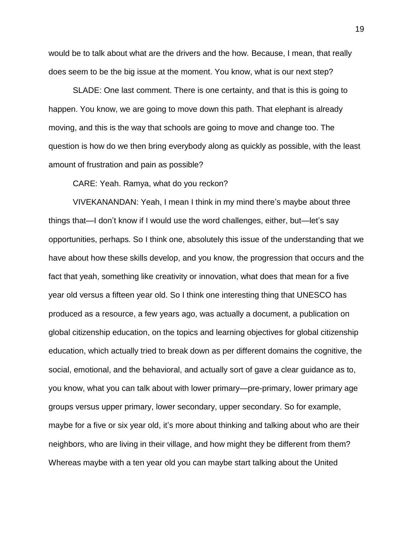would be to talk about what are the drivers and the how. Because, I mean, that really does seem to be the big issue at the moment. You know, what is our next step?

SLADE: One last comment. There is one certainty, and that is this is going to happen. You know, we are going to move down this path. That elephant is already moving, and this is the way that schools are going to move and change too. The question is how do we then bring everybody along as quickly as possible, with the least amount of frustration and pain as possible?

CARE: Yeah. Ramya, what do you reckon?

VIVEKANANDAN: Yeah, I mean I think in my mind there's maybe about three things that—I don't know if I would use the word challenges, either, but—let's say opportunities, perhaps. So I think one, absolutely this issue of the understanding that we have about how these skills develop, and you know, the progression that occurs and the fact that yeah, something like creativity or innovation, what does that mean for a five year old versus a fifteen year old. So I think one interesting thing that UNESCO has produced as a resource, a few years ago, was actually a document, a publication on global citizenship education, on the topics and learning objectives for global citizenship education, which actually tried to break down as per different domains the cognitive, the social, emotional, and the behavioral, and actually sort of gave a clear guidance as to, you know, what you can talk about with lower primary—pre-primary, lower primary age groups versus upper primary, lower secondary, upper secondary. So for example, maybe for a five or six year old, it's more about thinking and talking about who are their neighbors, who are living in their village, and how might they be different from them? Whereas maybe with a ten year old you can maybe start talking about the United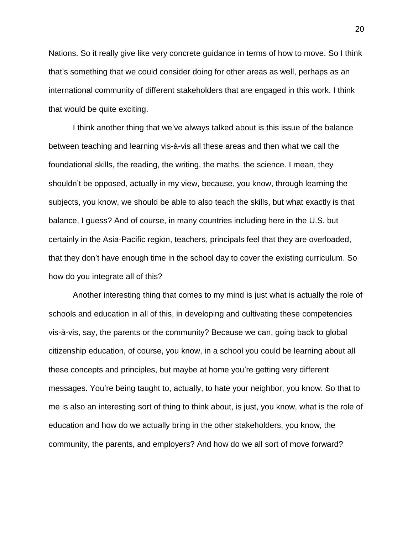Nations. So it really give like very concrete guidance in terms of how to move. So I think that's something that we could consider doing for other areas as well, perhaps as an international community of different stakeholders that are engaged in this work. I think that would be quite exciting.

I think another thing that we've always talked about is this issue of the balance between teaching and learning vis-à-vis all these areas and then what we call the foundational skills, the reading, the writing, the maths, the science. I mean, they shouldn't be opposed, actually in my view, because, you know, through learning the subjects, you know, we should be able to also teach the skills, but what exactly is that balance, I guess? And of course, in many countries including here in the U.S. but certainly in the Asia-Pacific region, teachers, principals feel that they are overloaded, that they don't have enough time in the school day to cover the existing curriculum. So how do you integrate all of this?

Another interesting thing that comes to my mind is just what is actually the role of schools and education in all of this, in developing and cultivating these competencies vis-à-vis, say, the parents or the community? Because we can, going back to global citizenship education, of course, you know, in a school you could be learning about all these concepts and principles, but maybe at home you're getting very different messages. You're being taught to, actually, to hate your neighbor, you know. So that to me is also an interesting sort of thing to think about, is just, you know, what is the role of education and how do we actually bring in the other stakeholders, you know, the community, the parents, and employers? And how do we all sort of move forward?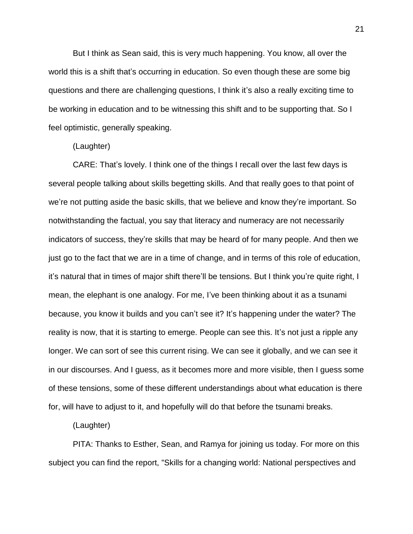But I think as Sean said, this is very much happening. You know, all over the world this is a shift that's occurring in education. So even though these are some big questions and there are challenging questions, I think it's also a really exciting time to be working in education and to be witnessing this shift and to be supporting that. So I feel optimistic, generally speaking.

#### (Laughter)

CARE: That's lovely. I think one of the things I recall over the last few days is several people talking about skills begetting skills. And that really goes to that point of we're not putting aside the basic skills, that we believe and know they're important. So notwithstanding the factual, you say that literacy and numeracy are not necessarily indicators of success, they're skills that may be heard of for many people. And then we just go to the fact that we are in a time of change, and in terms of this role of education, it's natural that in times of major shift there'll be tensions. But I think you're quite right, I mean, the elephant is one analogy. For me, I've been thinking about it as a tsunami because, you know it builds and you can't see it? It's happening under the water? The reality is now, that it is starting to emerge. People can see this. It's not just a ripple any longer. We can sort of see this current rising. We can see it globally, and we can see it in our discourses. And I guess, as it becomes more and more visible, then I guess some of these tensions, some of these different understandings about what education is there for, will have to adjust to it, and hopefully will do that before the tsunami breaks.

#### (Laughter)

PITA: Thanks to Esther, Sean, and Ramya for joining us today. For more on this subject you can find the report, "Skills for a changing world: National perspectives and